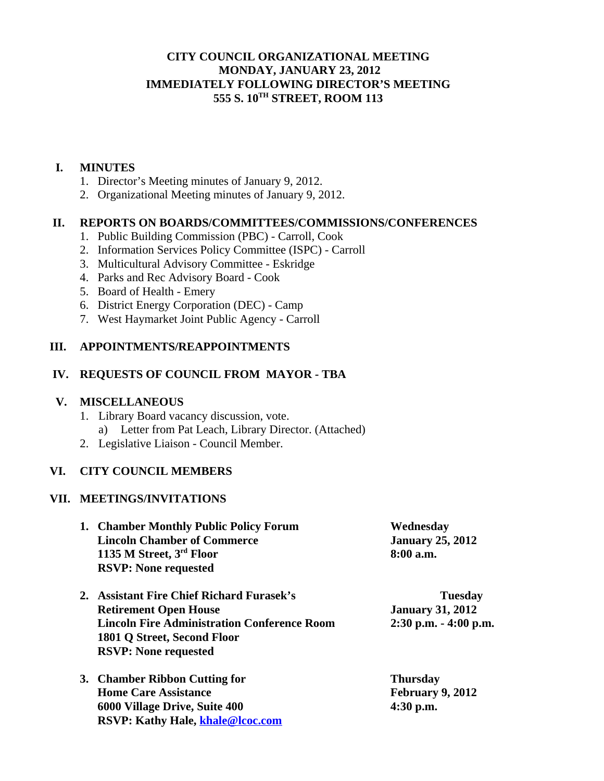# **CITY COUNCIL ORGANIZATIONAL MEETING MONDAY, JANUARY 23, 2012 IMMEDIATELY FOLLOWING DIRECTOR'S MEETING 555 S. 10TH STREET, ROOM 113**

### **I. MINUTES**

- 1. Director's Meeting minutes of January 9, 2012.
- 2. Organizational Meeting minutes of January 9, 2012.

### **II. REPORTS ON BOARDS/COMMITTEES/COMMISSIONS/CONFERENCES**

- 1. Public Building Commission (PBC) Carroll, Cook
- 2. Information Services Policy Committee (ISPC) Carroll
- 3. Multicultural Advisory Committee Eskridge
- 4. Parks and Rec Advisory Board Cook
- 5. Board of Health Emery
- 6. District Energy Corporation (DEC) Camp
- 7. West Haymarket Joint Public Agency Carroll

#### **III. APPOINTMENTS/REAPPOINTMENTS**

### **IV. REQUESTS OF COUNCIL FROM MAYOR - TBA**

#### **V. MISCELLANEOUS**

- 1. Library Board vacancy discussion, vote. a) Letter from Pat Leach, Library Director. (Attached)
- 2. Legislative Liaison Council Member.

# **VI. CITY COUNCIL MEMBERS**

#### **VII. MEETINGS/INVITATIONS**

| 1. Chamber Monthly Public Policy Forum | Wednesday               |
|----------------------------------------|-------------------------|
| <b>Lincoln Chamber of Commerce</b>     | <b>January 25, 2012</b> |
| 1135 M Street, 3rd Floor               | $8:00$ a.m.             |
| <b>RSVP: None requested</b>            |                         |

| 2. Assistant Fire Chief Richard Furasek's          | <b>Tuesday</b>           |
|----------------------------------------------------|--------------------------|
| <b>Retirement Open House</b>                       | <b>January 31, 2012</b>  |
| <b>Lincoln Fire Administration Conference Room</b> | $2:30$ p.m. $-4:00$ p.m. |
| 1801 Q Street, Second Floor                        |                          |
| <b>RSVP: None requested</b>                        |                          |
|                                                    |                          |

**3. Chamber Ribbon Cutting for Thursday Home Care Assistance February 9, 2012 6000 Village Drive, Suite 400 4:30 p.m. RSVP: Kathy Hale, khale@lcoc.com**